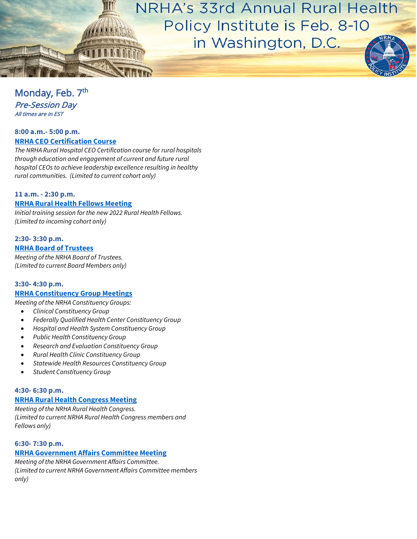

# Monday, Feb. 7<sup>th</sup> Pre-Session Day All times are in EST

#### **8:00 a.m.- 5:00 p.m. [NRHA CEO Certification Course](https://www.ruralhospitalceo.com/ceo-certification-program)**

*The NRHA Rural Hospital CEO Certification course for rural hospitals through education and engagement of current and future rural hospital CEOs to achieve leadership excellence resulting in healthy rural communities. (Limited to current cohort only)* 

# **11 a.m. - 2:30 p.m. [NRHA Rural Health Fellows Meeting](https://www.ruralhealth.us/programs/rural-health-fellows)**

*Initial training session for the new 2022 Rural Health Fellows. (Limited to incoming cohort only)* 

#### **2:30- 3:30 p.m. [NRHA Board of Trustees](https://www.ruralhealth.us/about-nrha/board-of-trustees)**

*Meeting of the NRHA Board of Trustees. (Limited to current Board Members only)* 

# **3:30- 4:30 p.m. [NRHA Constituency Group Meetings](https://www.ruralhealth.us/about-nrha/constituency-groups)**

*Meeting of the NRHA Constituency Groups:*

- *Clinical Constituency Group*
- *Federally Qualified Health Center Constituency Group*
- *Hospital and Health System Constituency Group*
- *Public Health Constituency Group*
- *Research and Evaluation Constituency Group*
- *Rural Health Clinic Constituency Group*
- *Statewide Health Resources Constituency Group*
- *Student Constituency Group*

#### **4:30- 6:30 p.m. [NRHA Rural Health Congress Meeting](https://www.ruralhealth.us/advocate/rural-health-congress)**

*Meeting of the NRHA Rural Health Congress. (Limited to current NRHA Rural Health Congress members and Fellows only)*

# **6:30- 7:30 p.m.**

# **[NRHA Government Affairs Committee Meeting](https://www.ruralhealth.us/advocate/government-affairs-committee)**

*Meeting of the NRHA Government Affairs Committee. (Limited to current NRHA Government Affairs Committee members only)*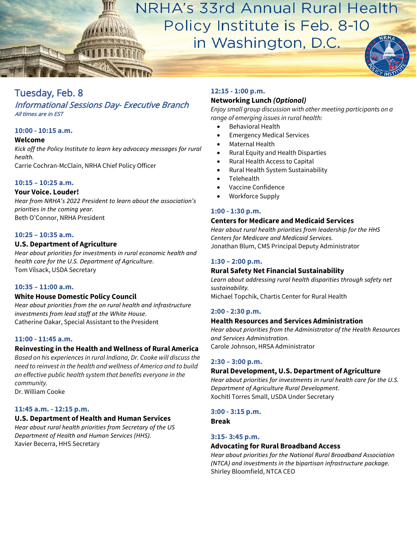NRHA's 33rd Annual Rural Health Policy Institute is Feb. 8-10

in Washington, D.C.



# Informational Sessions Day- Executive Branch All times are in EST

# **10:00 - 10:15 a.m.**

#### **Welcome**

*Kick off the Policy Institute to learn key advocacy messages for rural health.* 

Carrie Cochran-McClain, NRHA Chief Policy Officer

# **10:15 – 10:25 a.m.**

#### **Your Voice. Louder!**

*Hear from NRHA's 2022 President to learn about the association's priorities in the coming year.*  Beth O'Connor, NRHA President

#### **10:25 – 10:35 a.m.**

#### **U.S. Department of Agriculture**

*Hear about priorities for investments in rural economic health and health care for the U.S. Department of Agriculture.*  Tom Vilsack, USDA Secretary

#### **10:35 – 11:00 a.m.**

# **White House Domestic Policy Council**

*Hear about priorities from the on rural health and infrastructure investments from lead staff at the White House.*  Catherine Oakar, Special Assistant to the President

#### **11:00 - 11:45 a.m.**

# **Reinvesting in the Health and Wellness of Rural America**

*Based on his experiences in rural Indiana, Dr. Cooke will discuss the need to reinvest in the health and wellness of America and to build an effective public health system that benefits everyone in the community.*

Dr. William Cooke

# **11:45 a.m. - 12:15 p.m.**

# **U.S. Department of Health and Human Services**

*Hear about rural health priorities from Secretary of the US Department of Health and Human Services (HHS).*  Xavier Becerra, HHS Secretary

# **12:15 - 1:00 p.m.**

# **Networking Lunch** *(Optional)*

*Enjoy small group discussion with other meeting participants on a range of emerging issues in rural health:* 

- Behavioral Health
- **Emergency Medical Services**
- Maternal Health
- Rural Equity and Health Disparties
- Rural Health Access to Capital
- Rural Health System Sustainability
- Telehealth
- Vaccine Confidence
- Workforce Supply

#### **1:00 - 1:30 p.m.**

#### **Centers for Medicare and Medicaid Services**

*Hear about rural health priorities from leadership for the HHS Centers for Medicare and Medicaid Services.*  Jonathan Blum, CMS Principal Deputy Administrator

#### **1:30 – 2:00 p.m.**

# **Rural Safety Net Financial Sustainability**

Learn about addressing rural health disparities through safety net *sustainability.* 

Michael Topchik, Chartis Center for Rural Health

#### **2:00 - 2:30 p.m.**

#### **Health Resources and Services Administration**

*Hear about priorities from the Administrator of the Health Resources and Services Administration.*  Carole Johnson, HRSA Administrator

# **2:30 – 3:00 p.m.**

# **Rural Development, U.S. Department of Agriculture**

*Hear about priorities for investments in rural health care for the U.S. Department of Agriculture Rural Development.*  Xochitl Torres Small, USDA Under Secretary

#### **3:00 - 3:15 p.m.**

**Break**

# **3:15- 3:45 p.m.**

# **Advocating for Rural Broadband Access**

*Hear about priorities for the National Rural Broadband Association (NTCA) and investments in the bipartisan infrastructure package.*  Shirley Bloomfield, NTCA CEO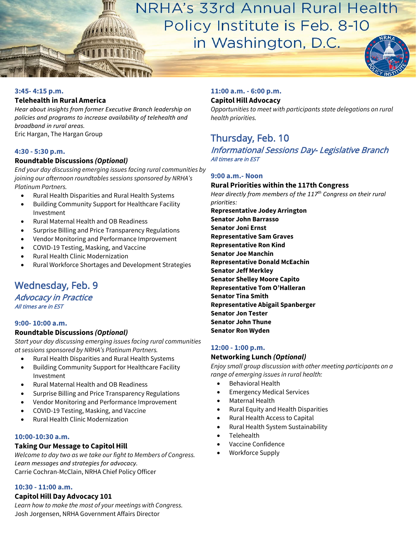NRHA's 33rd Annual Rural Health Policy Institute is Feb. 8-10 in Washington, D.C.

#### **3:45- 4:15 p.m.**

#### **Telehealth in Rural America**

*Hear about insights from former Executive Branch leadership on policies and programs to increase availability of telehealth and broadband in rural areas.*  Eric Hargan, The Hargan Group

#### **4:30 - 5:30 p.m.**

# **Roundtable Discussions** *(Optional)*

*End your day discussing emerging issues facing rural communities by joining our afternoon roundtables sessions sponsored by NRHA's Platinum Partners.* 

- Rural Health Disparities and Rural Health Systems
- Building Community Support for Healthcare Facility Investment
- Rural Maternal Health and OB Readiness
- Surprise Billing and Price Transparency Regulations
- Vendor Monitoring and Performance Improvement
- COVID-19 Testing, Masking, and Vaccine
- Rural Health Clinic Modernization
- Rural Workforce Shortages and Development Strategies

# Wednesday, Feb. 9

Advocacy in Practice All times are in EST

#### **9:00- 10:00 a.m.**

# **Roundtable Discussions** *(Optional)*

*Start your day discussing emerging issues facing rural communities at sessions sponsored by NRHA's Platinum Partners.*

- Rural Health Disparities and Rural Health Systems
- Building Community Support for Healthcare Facility Investment
- Rural Maternal Health and OB Readiness
- Surprise Billing and Price Transparency Regulations
- Vendor Monitoring and Performance Improvement
- COVID-19 Testing, Masking, and Vaccine
- Rural Health Clinic Modernization

#### **10:00-10:30 a.m.**

# **Taking Our Message to Capitol Hill**

*Welcome to day two as we take our fight to Members of Congress. Learn messages and strategies for advocacy.*  Carrie Cochran-McClain, NRHA Chief Policy Officer

# **10:30 - 11:00 a.m.**

# **Capitol Hill Day Advocacy 101**

*Learn how to make the most of your meetings with Congress.* Josh Jorgensen, NRHA Government Affairs Director

#### **11:00 a.m. - 6:00 p.m.**

#### **Capitol Hill Advocacy**

*Opportunities to meet with participants state delegations on rural health priorities.* 

# Thursday, Feb. 10

Informational Sessions Day- Legislative Branch All times are in EST

# **9:00 a.m.- Noon**

# **Rural Priorities within the 117th Congress**

*Hear directly from members of the 117th Congress on their rural priorities:*

**Representative Jodey Arrington Senator John Barrasso Senator Joni Ernst Representative Sam Graves Representative Ron Kind Senator Joe Manchin Representative Donald McEachin Senator Jeff Merkley Senator Shelley Moore Capito Representative Tom O'Halleran Senator Tina Smith Representative Abigail Spanberger Senator Jon Tester Senator John Thune Senator Ron Wyden** 

# **12:00 - 1:00 p.m.**

#### **Networking Lunch** *(Optional)*

*Enjoy small group discussion with other meeting participants on a range of emerging issues in rural health:*

- Behavioral Health
- **Emergency Medical Services**
- Maternal Health
- Rural Equity and Health Disparities
- Rural Health Access to Capital
- Rural Health System Sustainability
- Telehealth
- Vaccine Confidence
- Workforce Supply